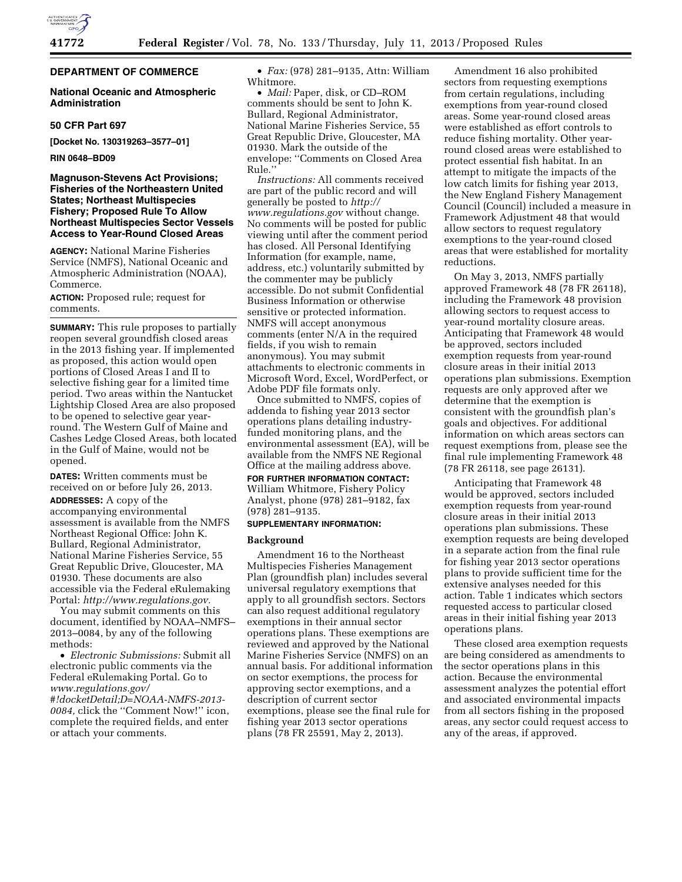

# **DEPARTMENT OF COMMERCE**

#### **National Oceanic and Atmospheric Administration**

#### **50 CFR Part 697**

**[Docket No. 130319263–3577–01]** 

#### **RIN 0648–BD09**

## **Magnuson-Stevens Act Provisions; Fisheries of the Northeastern United States; Northeast Multispecies Fishery; Proposed Rule To Allow Northeast Multispecies Sector Vessels Access to Year-Round Closed Areas**

**AGENCY:** National Marine Fisheries Service (NMFS), National Oceanic and Atmospheric Administration (NOAA), Commerce.

**ACTION:** Proposed rule; request for comments.

**SUMMARY:** This rule proposes to partially reopen several groundfish closed areas in the 2013 fishing year. If implemented as proposed, this action would open portions of Closed Areas I and II to selective fishing gear for a limited time period. Two areas within the Nantucket Lightship Closed Area are also proposed to be opened to selective gear yearround. The Western Gulf of Maine and Cashes Ledge Closed Areas, both located in the Gulf of Maine, would not be opened.

**DATES:** Written comments must be received on or before July 26, 2013.

**ADDRESSES:** A copy of the accompanying environmental assessment is available from the NMFS Northeast Regional Office: John K. Bullard, Regional Administrator, National Marine Fisheries Service, 55 Great Republic Drive, Gloucester, MA 01930. These documents are also accessible via the Federal eRulemaking Portal: *[http://www.regulations.gov.](http://www.regulations.gov)* 

You may submit comments on this document, identified by NOAA–NMFS– 2013–0084, by any of the following methods:

• *Electronic Submissions:* Submit all electronic public comments via the Federal eRulemaking Portal. Go to *[www.regulations.gov/](http://www.regulations.gov/#!docketDetail;D=NOAA-NMFS-2013-0084) [#!docketDetail;D=NOAA-NMFS-2013-](http://www.regulations.gov/#!docketDetail;D=NOAA-NMFS-2013-0084) [0084,](http://www.regulations.gov/#!docketDetail;D=NOAA-NMFS-2013-0084)* click the ''Comment Now!'' icon, complete the required fields, and enter or attach your comments.

• *Fax:* (978) 281–9135, Attn: William Whitmore.

• *Mail:* Paper, disk, or CD–ROM comments should be sent to John K. Bullard, Regional Administrator, National Marine Fisheries Service, 55 Great Republic Drive, Gloucester, MA 01930. Mark the outside of the envelope: ''Comments on Closed Area Rule.''

*Instructions:* All comments received are part of the public record and will generally be posted to *[http://](http://www.regulations.gov) [www.regulations.gov](http://www.regulations.gov)* without change. No comments will be posted for public viewing until after the comment period has closed. All Personal Identifying Information (for example, name, address, etc.) voluntarily submitted by the commenter may be publicly accessible. Do not submit Confidential Business Information or otherwise sensitive or protected information. NMFS will accept anonymous comments (enter N/A in the required fields, if you wish to remain anonymous). You may submit attachments to electronic comments in Microsoft Word, Excel, WordPerfect, or Adobe PDF file formats only.

Once submitted to NMFS, copies of addenda to fishing year 2013 sector operations plans detailing industryfunded monitoring plans, and the environmental assessment (EA), will be available from the NMFS NE Regional Office at the mailing address above. **FOR FURTHER INFORMATION CONTACT:**  William Whitmore, Fishery Policy Analyst, phone (978) 281–9182, fax (978) 281–9135.

## **SUPPLEMENTARY INFORMATION:**

## **Background**

Amendment 16 to the Northeast Multispecies Fisheries Management Plan (groundfish plan) includes several universal regulatory exemptions that apply to all groundfish sectors. Sectors can also request additional regulatory exemptions in their annual sector operations plans. These exemptions are reviewed and approved by the National Marine Fisheries Service (NMFS) on an annual basis. For additional information on sector exemptions, the process for approving sector exemptions, and a description of current sector exemptions, please see the final rule for fishing year 2013 sector operations plans (78 FR 25591, May 2, 2013).

Amendment 16 also prohibited sectors from requesting exemptions from certain regulations, including exemptions from year-round closed areas. Some year-round closed areas were established as effort controls to reduce fishing mortality. Other yearround closed areas were established to protect essential fish habitat. In an attempt to mitigate the impacts of the low catch limits for fishing year 2013, the New England Fishery Management Council (Council) included a measure in Framework Adjustment 48 that would allow sectors to request regulatory exemptions to the year-round closed areas that were established for mortality reductions.

On May 3, 2013, NMFS partially approved Framework 48 (78 FR 26118), including the Framework 48 provision allowing sectors to request access to year-round mortality closure areas. Anticipating that Framework 48 would be approved, sectors included exemption requests from year-round closure areas in their initial 2013 operations plan submissions. Exemption requests are only approved after we determine that the exemption is consistent with the groundfish plan's goals and objectives. For additional information on which areas sectors can request exemptions from, please see the final rule implementing Framework 48 (78 FR 26118, see page 26131).

Anticipating that Framework 48 would be approved, sectors included exemption requests from year-round closure areas in their initial 2013 operations plan submissions. These exemption requests are being developed in a separate action from the final rule for fishing year 2013 sector operations plans to provide sufficient time for the extensive analyses needed for this action. Table 1 indicates which sectors requested access to particular closed areas in their initial fishing year 2013 operations plans.

These closed area exemption requests are being considered as amendments to the sector operations plans in this action. Because the environmental assessment analyzes the potential effort and associated environmental impacts from all sectors fishing in the proposed areas, any sector could request access to any of the areas, if approved.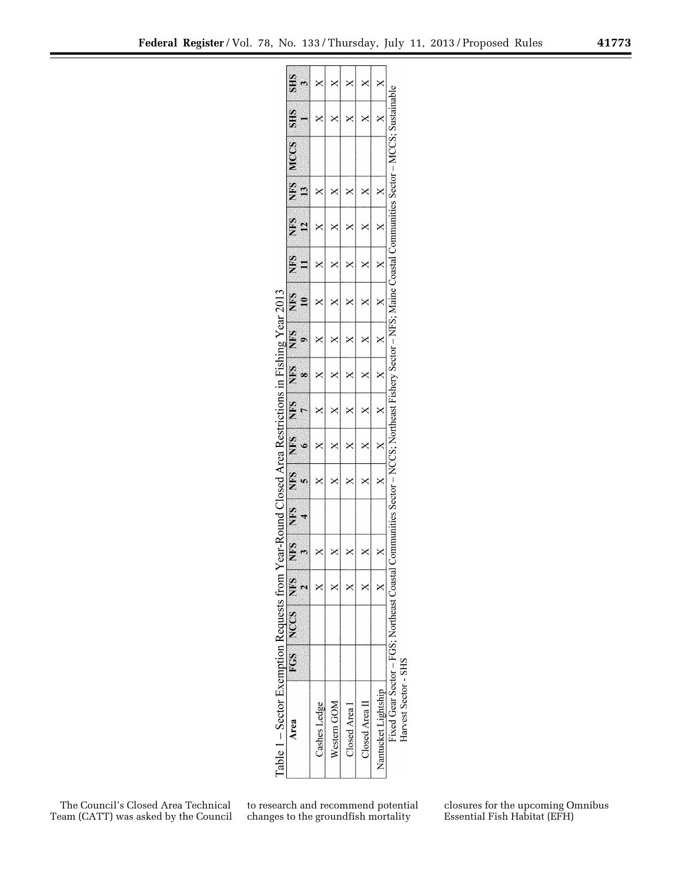| Federal Register/Vol. 78, No. 133/Thursday, July 11, 2013/Proposed Rules |  |  |  | 41773 |
|--------------------------------------------------------------------------|--|--|--|-------|
|                                                                          |  |  |  |       |

|                                                |              |              | ×           | ×             |                |                     |                                            |                      |
|------------------------------------------------|--------------|--------------|-------------|---------------|----------------|---------------------|--------------------------------------------|----------------------|
|                                                |              |              | ≺           |               |                | ⋞                   |                                            |                      |
|                                                |              |              | Κ           | ⋞             |                |                     |                                            |                      |
|                                                |              |              |             | ⋖             |                |                     |                                            |                      |
| r e a r                                        |              |              |             |               |                |                     |                                            |                      |
|                                                |              |              |             |               |                |                     |                                            |                      |
| rictions *                                     |              |              | ≺           |               |                |                     |                                            |                      |
|                                                |              |              | ≺           |               |                |                     |                                            |                      |
| $\Box$ osed Area Rest                          |              |              |             |               |                |                     |                                            |                      |
|                                                |              |              |             |               |                |                     |                                            |                      |
| ear-Kounc                                      |              |              |             | ×             |                |                     |                                            |                      |
|                                                |              |              |             |               |                |                     |                                            |                      |
|                                                | FGS NCCS NFS |              |             |               |                |                     | Fixed Gear Sector - FGS; Northeast Coastal |                      |
| Table $1 -$ Sector Exemption Requests from $Y$ | Area         | Cashes Ledge | Western GOM | Closed Area I | Closed Area II | Nantucket Lightship |                                            | Harvest Sector - SHS |

The Council's Closed Area Technical Team (CATT) was asked by the Council

to research and recommend potential changes to the groundfish mortality

closures for the upcoming Omnibus Essential Fish Habitat (EFH)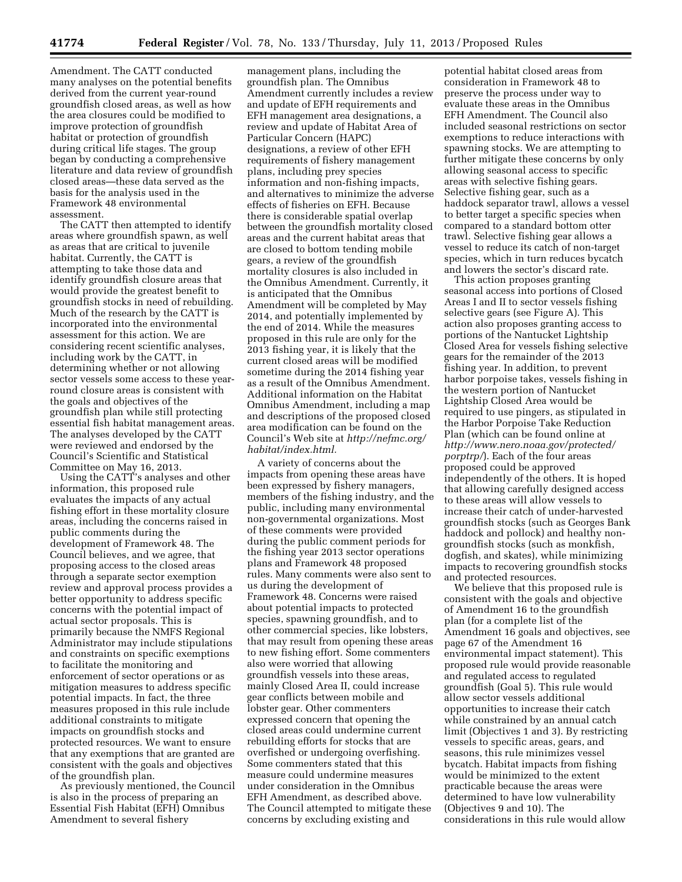Amendment. The CATT conducted many analyses on the potential benefits derived from the current year-round groundfish closed areas, as well as how the area closures could be modified to improve protection of groundfish habitat or protection of groundfish during critical life stages. The group began by conducting a comprehensive literature and data review of groundfish closed areas—these data served as the basis for the analysis used in the Framework 48 environmental assessment.

The CATT then attempted to identify areas where groundfish spawn, as well as areas that are critical to juvenile habitat. Currently, the CATT is attempting to take those data and identify groundfish closure areas that would provide the greatest benefit to groundfish stocks in need of rebuilding. Much of the research by the CATT is incorporated into the environmental assessment for this action. We are considering recent scientific analyses, including work by the CATT, in determining whether or not allowing sector vessels some access to these yearround closure areas is consistent with the goals and objectives of the groundfish plan while still protecting essential fish habitat management areas. The analyses developed by the CATT were reviewed and endorsed by the Council's Scientific and Statistical Committee on May 16, 2013.

Using the CATT's analyses and other information, this proposed rule evaluates the impacts of any actual fishing effort in these mortality closure areas, including the concerns raised in public comments during the development of Framework 48. The Council believes, and we agree, that proposing access to the closed areas through a separate sector exemption review and approval process provides a better opportunity to address specific concerns with the potential impact of actual sector proposals. This is primarily because the NMFS Regional Administrator may include stipulations and constraints on specific exemptions to facilitate the monitoring and enforcement of sector operations or as mitigation measures to address specific potential impacts. In fact, the three measures proposed in this rule include additional constraints to mitigate impacts on groundfish stocks and protected resources. We want to ensure that any exemptions that are granted are consistent with the goals and objectives of the groundfish plan.

As previously mentioned, the Council is also in the process of preparing an Essential Fish Habitat (EFH) Omnibus Amendment to several fishery

management plans, including the groundfish plan. The Omnibus Amendment currently includes a review and update of EFH requirements and EFH management area designations, a review and update of Habitat Area of Particular Concern (HAPC) designations, a review of other EFH requirements of fishery management plans, including prey species information and non-fishing impacts, and alternatives to minimize the adverse effects of fisheries on EFH. Because there is considerable spatial overlap between the groundfish mortality closed areas and the current habitat areas that are closed to bottom tending mobile gears, a review of the groundfish mortality closures is also included in the Omnibus Amendment. Currently, it is anticipated that the Omnibus Amendment will be completed by May 2014, and potentially implemented by the end of 2014. While the measures proposed in this rule are only for the 2013 fishing year, it is likely that the current closed areas will be modified sometime during the 2014 fishing year as a result of the Omnibus Amendment. Additional information on the Habitat Omnibus Amendment, including a map and descriptions of the proposed closed area modification can be found on the Council's Web site at *[http://nefmc.org/](http://nefmc.org/habitat/index.html) [habitat/index.html.](http://nefmc.org/habitat/index.html)* 

A variety of concerns about the impacts from opening these areas have been expressed by fishery managers, members of the fishing industry, and the public, including many environmental non-governmental organizations. Most of these comments were provided during the public comment periods for the fishing year 2013 sector operations plans and Framework 48 proposed rules. Many comments were also sent to us during the development of Framework 48. Concerns were raised about potential impacts to protected species, spawning groundfish, and to other commercial species, like lobsters, that may result from opening these areas to new fishing effort. Some commenters also were worried that allowing groundfish vessels into these areas, mainly Closed Area II, could increase gear conflicts between mobile and lobster gear. Other commenters expressed concern that opening the closed areas could undermine current rebuilding efforts for stocks that are overfished or undergoing overfishing. Some commenters stated that this measure could undermine measures under consideration in the Omnibus EFH Amendment, as described above. The Council attempted to mitigate these concerns by excluding existing and

potential habitat closed areas from consideration in Framework 48 to preserve the process under way to evaluate these areas in the Omnibus EFH Amendment. The Council also included seasonal restrictions on sector exemptions to reduce interactions with spawning stocks. We are attempting to further mitigate these concerns by only allowing seasonal access to specific areas with selective fishing gears. Selective fishing gear, such as a haddock separator trawl, allows a vessel to better target a specific species when compared to a standard bottom otter trawl. Selective fishing gear allows a vessel to reduce its catch of non-target species, which in turn reduces bycatch and lowers the sector's discard rate.

This action proposes granting seasonal access into portions of Closed Areas I and II to sector vessels fishing selective gears (see Figure A). This action also proposes granting access to portions of the Nantucket Lightship Closed Area for vessels fishing selective gears for the remainder of the 2013 fishing year. In addition, to prevent harbor porpoise takes, vessels fishing in the western portion of Nantucket Lightship Closed Area would be required to use pingers, as stipulated in the Harbor Porpoise Take Reduction Plan (which can be found online at *[http://www.nero.noaa.gov/protected/](http://www.nero.noaa.gov/protected/porptrp/)  [porptrp/](http://www.nero.noaa.gov/protected/porptrp/)*). Each of the four areas proposed could be approved independently of the others. It is hoped that allowing carefully designed access to these areas will allow vessels to increase their catch of under-harvested groundfish stocks (such as Georges Bank haddock and pollock) and healthy nongroundfish stocks (such as monkfish, dogfish, and skates), while minimizing impacts to recovering groundfish stocks and protected resources.

We believe that this proposed rule is consistent with the goals and objective of Amendment 16 to the groundfish plan (for a complete list of the Amendment 16 goals and objectives, see page 67 of the Amendment 16 environmental impact statement). This proposed rule would provide reasonable and regulated access to regulated groundfish (Goal 5). This rule would allow sector vessels additional opportunities to increase their catch while constrained by an annual catch limit (Objectives 1 and 3). By restricting vessels to specific areas, gears, and seasons, this rule minimizes vessel bycatch. Habitat impacts from fishing would be minimized to the extent practicable because the areas were determined to have low vulnerability (Objectives 9 and 10). The considerations in this rule would allow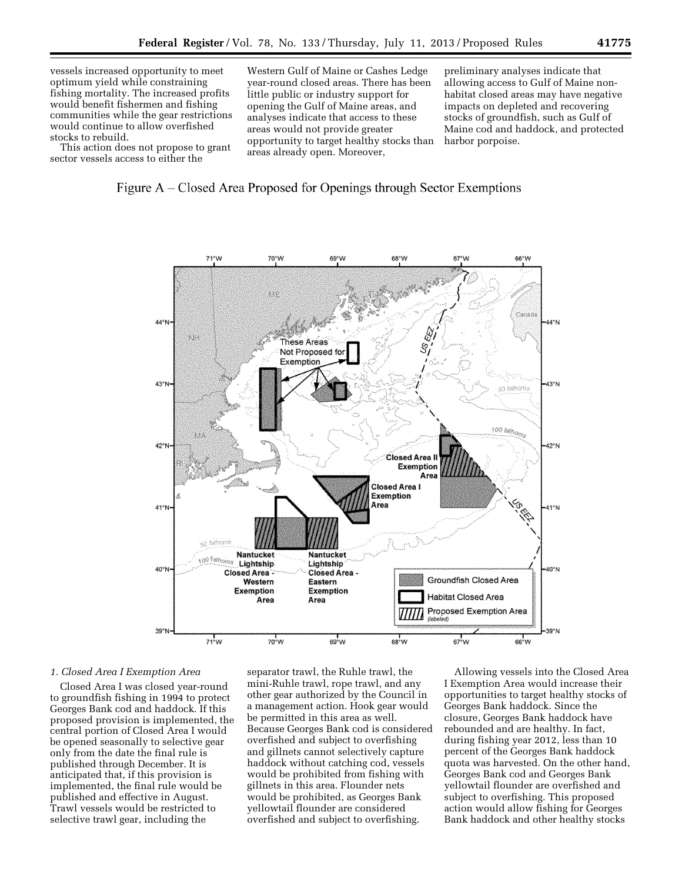vessels increased opportunity to meet optimum yield while constraining fishing mortality. The increased profits would benefit fishermen and fishing communities while the gear restrictions would continue to allow overfished stocks to rebuild.

This action does not propose to grant sector vessels access to either the

Western Gulf of Maine or Cashes Ledge year-round closed areas. There has been little public or industry support for opening the Gulf of Maine areas, and analyses indicate that access to these areas would not provide greater opportunity to target healthy stocks than areas already open. Moreover,

preliminary analyses indicate that allowing access to Gulf of Maine nonhabitat closed areas may have negative impacts on depleted and recovering stocks of groundfish, such as Gulf of Maine cod and haddock, and protected harbor porpoise.





#### *1. Closed Area I Exemption Area*

Closed Area I was closed year-round to groundfish fishing in 1994 to protect Georges Bank cod and haddock. If this proposed provision is implemented, the central portion of Closed Area I would be opened seasonally to selective gear only from the date the final rule is published through December. It is anticipated that, if this provision is implemented, the final rule would be published and effective in August. Trawl vessels would be restricted to selective trawl gear, including the

separator trawl, the Ruhle trawl, the mini-Ruhle trawl, rope trawl, and any other gear authorized by the Council in a management action. Hook gear would be permitted in this area as well. Because Georges Bank cod is considered overfished and subject to overfishing and gillnets cannot selectively capture haddock without catching cod, vessels would be prohibited from fishing with gillnets in this area. Flounder nets would be prohibited, as Georges Bank yellowtail flounder are considered overfished and subject to overfishing.

Allowing vessels into the Closed Area I Exemption Area would increase their opportunities to target healthy stocks of Georges Bank haddock. Since the closure, Georges Bank haddock have rebounded and are healthy. In fact, during fishing year 2012, less than 10 percent of the Georges Bank haddock quota was harvested. On the other hand, Georges Bank cod and Georges Bank yellowtail flounder are overfished and subject to overfishing. This proposed action would allow fishing for Georges Bank haddock and other healthy stocks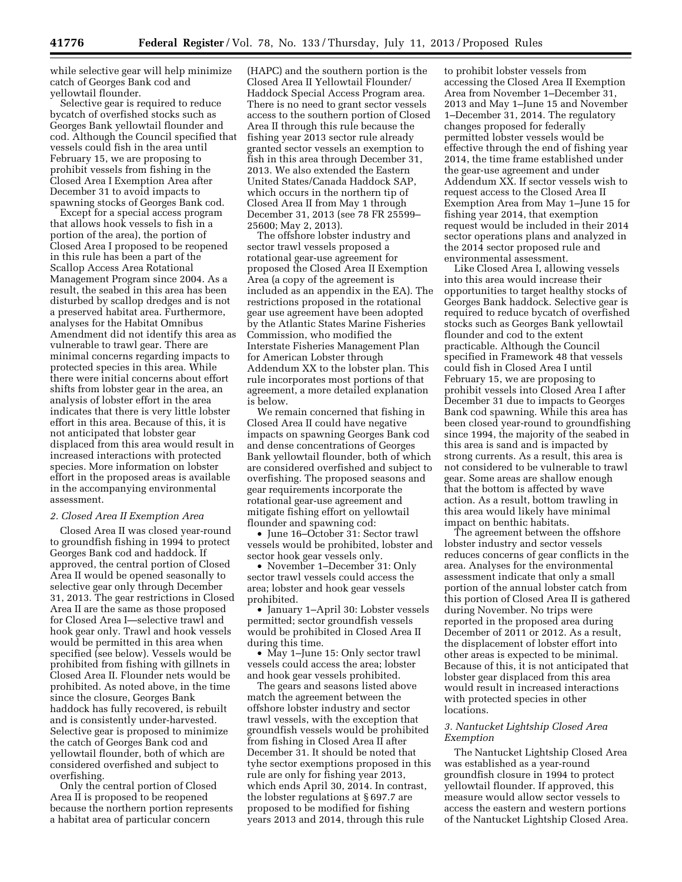while selective gear will help minimize catch of Georges Bank cod and yellowtail flounder.

Selective gear is required to reduce bycatch of overfished stocks such as Georges Bank yellowtail flounder and cod. Although the Council specified that vessels could fish in the area until February 15, we are proposing to prohibit vessels from fishing in the Closed Area I Exemption Area after December 31 to avoid impacts to spawning stocks of Georges Bank cod.

Except for a special access program that allows hook vessels to fish in a portion of the area), the portion of Closed Area I proposed to be reopened in this rule has been a part of the Scallop Access Area Rotational Management Program since 2004. As a result, the seabed in this area has been disturbed by scallop dredges and is not a preserved habitat area. Furthermore, analyses for the Habitat Omnibus Amendment did not identify this area as vulnerable to trawl gear. There are minimal concerns regarding impacts to protected species in this area. While there were initial concerns about effort shifts from lobster gear in the area, an analysis of lobster effort in the area indicates that there is very little lobster effort in this area. Because of this, it is not anticipated that lobster gear displaced from this area would result in increased interactions with protected species. More information on lobster effort in the proposed areas is available in the accompanying environmental assessment.

#### *2. Closed Area II Exemption Area*

Closed Area II was closed year-round to groundfish fishing in 1994 to protect Georges Bank cod and haddock. If approved, the central portion of Closed Area II would be opened seasonally to selective gear only through December 31, 2013. The gear restrictions in Closed Area II are the same as those proposed for Closed Area I—selective trawl and hook gear only. Trawl and hook vessels would be permitted in this area when specified (see below). Vessels would be prohibited from fishing with gillnets in Closed Area II. Flounder nets would be prohibited. As noted above, in the time since the closure, Georges Bank haddock has fully recovered, is rebuilt and is consistently under-harvested. Selective gear is proposed to minimize the catch of Georges Bank cod and yellowtail flounder, both of which are considered overfished and subject to overfishing.

Only the central portion of Closed Area II is proposed to be reopened because the northern portion represents a habitat area of particular concern

(HAPC) and the southern portion is the Closed Area II Yellowtail Flounder/ Haddock Special Access Program area. There is no need to grant sector vessels access to the southern portion of Closed Area II through this rule because the fishing year 2013 sector rule already granted sector vessels an exemption to fish in this area through December 31, 2013. We also extended the Eastern United States/Canada Haddock SAP, which occurs in the northern tip of Closed Area II from May 1 through December 31, 2013 (see 78 FR 25599– 25600; May 2, 2013).

The offshore lobster industry and sector trawl vessels proposed a rotational gear-use agreement for proposed the Closed Area II Exemption Area (a copy of the agreement is included as an appendix in the EA). The restrictions proposed in the rotational gear use agreement have been adopted by the Atlantic States Marine Fisheries Commission, who modified the Interstate Fisheries Management Plan for American Lobster through Addendum XX to the lobster plan. This rule incorporates most portions of that agreement, a more detailed explanation is below.

We remain concerned that fishing in Closed Area II could have negative impacts on spawning Georges Bank cod and dense concentrations of Georges Bank yellowtail flounder, both of which are considered overfished and subject to overfishing. The proposed seasons and gear requirements incorporate the rotational gear-use agreement and mitigate fishing effort on yellowtail flounder and spawning cod:

• June 16–October 31: Sector trawl vessels would be prohibited, lobster and sector hook gear vessels only.

• November 1–December 31: Only sector trawl vessels could access the area; lobster and hook gear vessels prohibited.

• January 1–April 30: Lobster vessels permitted; sector groundfish vessels would be prohibited in Closed Area II during this time.

• May 1–June 15: Only sector trawl vessels could access the area; lobster and hook gear vessels prohibited.

The gears and seasons listed above match the agreement between the offshore lobster industry and sector trawl vessels, with the exception that groundfish vessels would be prohibited from fishing in Closed Area II after December 31. It should be noted that tyhe sector exemptions proposed in this rule are only for fishing year 2013, which ends April 30, 2014. In contrast, the lobster regulations at § 697.7 are proposed to be modified for fishing years 2013 and 2014, through this rule

to prohibit lobster vessels from accessing the Closed Area II Exemption Area from November 1–December 31, 2013 and May 1–June 15 and November 1–December 31, 2014. The regulatory changes proposed for federally permitted lobster vessels would be effective through the end of fishing year 2014, the time frame established under the gear-use agreement and under Addendum XX. If sector vessels wish to request access to the Closed Area II Exemption Area from May 1–June 15 for fishing year 2014, that exemption request would be included in their 2014 sector operations plans and analyzed in the 2014 sector proposed rule and environmental assessment.

Like Closed Area I, allowing vessels into this area would increase their opportunities to target healthy stocks of Georges Bank haddock. Selective gear is required to reduce bycatch of overfished stocks such as Georges Bank yellowtail flounder and cod to the extent practicable. Although the Council specified in Framework 48 that vessels could fish in Closed Area I until February 15, we are proposing to prohibit vessels into Closed Area I after December 31 due to impacts to Georges Bank cod spawning. While this area has been closed year-round to groundfishing since 1994, the majority of the seabed in this area is sand and is impacted by strong currents. As a result, this area is not considered to be vulnerable to trawl gear. Some areas are shallow enough that the bottom is affected by wave action. As a result, bottom trawling in this area would likely have minimal impact on benthic habitats.

The agreement between the offshore lobster industry and sector vessels reduces concerns of gear conflicts in the area. Analyses for the environmental assessment indicate that only a small portion of the annual lobster catch from this portion of Closed Area II is gathered during November. No trips were reported in the proposed area during December of 2011 or 2012. As a result, the displacement of lobster effort into other areas is expected to be minimal. Because of this, it is not anticipated that lobster gear displaced from this area would result in increased interactions with protected species in other locations.

# *3. Nantucket Lightship Closed Area Exemption*

The Nantucket Lightship Closed Area was established as a year-round groundfish closure in 1994 to protect yellowtail flounder. If approved, this measure would allow sector vessels to access the eastern and western portions of the Nantucket Lightship Closed Area.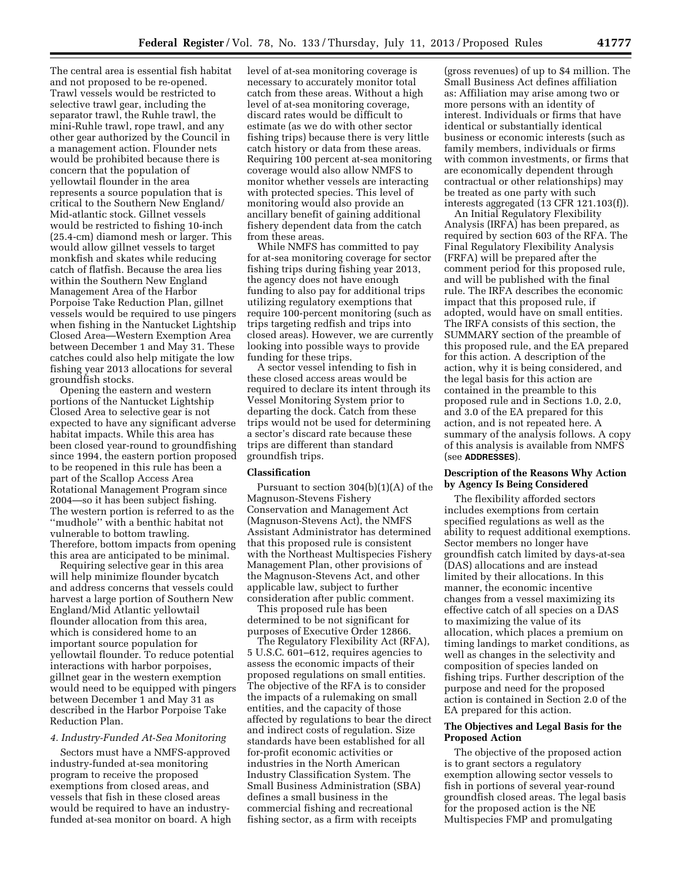The central area is essential fish habitat and not proposed to be re-opened. Trawl vessels would be restricted to selective trawl gear, including the separator trawl, the Ruhle trawl, the mini-Ruhle trawl, rope trawl, and any other gear authorized by the Council in a management action. Flounder nets would be prohibited because there is concern that the population of yellowtail flounder in the area represents a source population that is critical to the Southern New England/ Mid-atlantic stock. Gillnet vessels would be restricted to fishing 10-inch (25.4-cm) diamond mesh or larger. This would allow gillnet vessels to target monkfish and skates while reducing catch of flatfish. Because the area lies within the Southern New England Management Area of the Harbor Porpoise Take Reduction Plan, gillnet vessels would be required to use pingers when fishing in the Nantucket Lightship Closed Area—Western Exemption Area between December 1 and May 31. These catches could also help mitigate the low fishing year 2013 allocations for several groundfish stocks.

Opening the eastern and western portions of the Nantucket Lightship Closed Area to selective gear is not expected to have any significant adverse habitat impacts. While this area has been closed year-round to groundfishing since 1994, the eastern portion proposed to be reopened in this rule has been a part of the Scallop Access Area Rotational Management Program since 2004—so it has been subject fishing. The western portion is referred to as the ''mudhole'' with a benthic habitat not vulnerable to bottom trawling. Therefore, bottom impacts from opening this area are anticipated to be minimal.

Requiring selective gear in this area will help minimize flounder bycatch and address concerns that vessels could harvest a large portion of Southern New England/Mid Atlantic yellowtail flounder allocation from this area, which is considered home to an important source population for yellowtail flounder. To reduce potential interactions with harbor porpoises, gillnet gear in the western exemption would need to be equipped with pingers between December 1 and May 31 as described in the Harbor Porpoise Take Reduction Plan.

# *4. Industry-Funded At-Sea Monitoring*

Sectors must have a NMFS-approved industry-funded at-sea monitoring program to receive the proposed exemptions from closed areas, and vessels that fish in these closed areas would be required to have an industryfunded at-sea monitor on board. A high level of at-sea monitoring coverage is necessary to accurately monitor total catch from these areas. Without a high level of at-sea monitoring coverage, discard rates would be difficult to estimate (as we do with other sector fishing trips) because there is very little catch history or data from these areas. Requiring 100 percent at-sea monitoring coverage would also allow NMFS to monitor whether vessels are interacting with protected species. This level of monitoring would also provide an ancillary benefit of gaining additional fishery dependent data from the catch from these areas.

While NMFS has committed to pay for at-sea monitoring coverage for sector fishing trips during fishing year 2013, the agency does not have enough funding to also pay for additional trips utilizing regulatory exemptions that require 100-percent monitoring (such as trips targeting redfish and trips into closed areas). However, we are currently looking into possible ways to provide funding for these trips.

A sector vessel intending to fish in these closed access areas would be required to declare its intent through its Vessel Monitoring System prior to departing the dock. Catch from these trips would not be used for determining a sector's discard rate because these trips are different than standard groundfish trips.

#### **Classification**

Pursuant to section 304(b)(1)(A) of the Magnuson-Stevens Fishery Conservation and Management Act (Magnuson-Stevens Act), the NMFS Assistant Administrator has determined that this proposed rule is consistent with the Northeast Multispecies Fishery Management Plan, other provisions of the Magnuson-Stevens Act, and other applicable law, subject to further consideration after public comment.

This proposed rule has been determined to be not significant for purposes of Executive Order 12866.

The Regulatory Flexibility Act (RFA), 5 U.S.C. 601–612, requires agencies to assess the economic impacts of their proposed regulations on small entities. The objective of the RFA is to consider the impacts of a rulemaking on small entities, and the capacity of those affected by regulations to bear the direct and indirect costs of regulation. Size standards have been established for all for-profit economic activities or industries in the North American Industry Classification System. The Small Business Administration (SBA) defines a small business in the commercial fishing and recreational fishing sector, as a firm with receipts

(gross revenues) of up to \$4 million. The Small Business Act defines affiliation as: Affiliation may arise among two or more persons with an identity of interest. Individuals or firms that have identical or substantially identical business or economic interests (such as family members, individuals or firms with common investments, or firms that are economically dependent through contractual or other relationships) may be treated as one party with such interests aggregated (13 CFR 121.103(f)).

An Initial Regulatory Flexibility Analysis (IRFA) has been prepared, as required by section 603 of the RFA. The Final Regulatory Flexibility Analysis (FRFA) will be prepared after the comment period for this proposed rule, and will be published with the final rule. The IRFA describes the economic impact that this proposed rule, if adopted, would have on small entities. The IRFA consists of this section, the SUMMARY section of the preamble of this proposed rule, and the EA prepared for this action. A description of the action, why it is being considered, and the legal basis for this action are contained in the preamble to this proposed rule and in Sections 1.0, 2.0, and 3.0 of the EA prepared for this action, and is not repeated here. A summary of the analysis follows. A copy of this analysis is available from NMFS (see **ADDRESSES**).

# **Description of the Reasons Why Action by Agency Is Being Considered**

The flexibility afforded sectors includes exemptions from certain specified regulations as well as the ability to request additional exemptions. Sector members no longer have groundfish catch limited by days-at-sea (DAS) allocations and are instead limited by their allocations. In this manner, the economic incentive changes from a vessel maximizing its effective catch of all species on a DAS to maximizing the value of its allocation, which places a premium on timing landings to market conditions, as well as changes in the selectivity and composition of species landed on fishing trips. Further description of the purpose and need for the proposed action is contained in Section 2.0 of the EA prepared for this action.

# **The Objectives and Legal Basis for the Proposed Action**

The objective of the proposed action is to grant sectors a regulatory exemption allowing sector vessels to fish in portions of several year-round groundfish closed areas. The legal basis for the proposed action is the NE Multispecies FMP and promulgating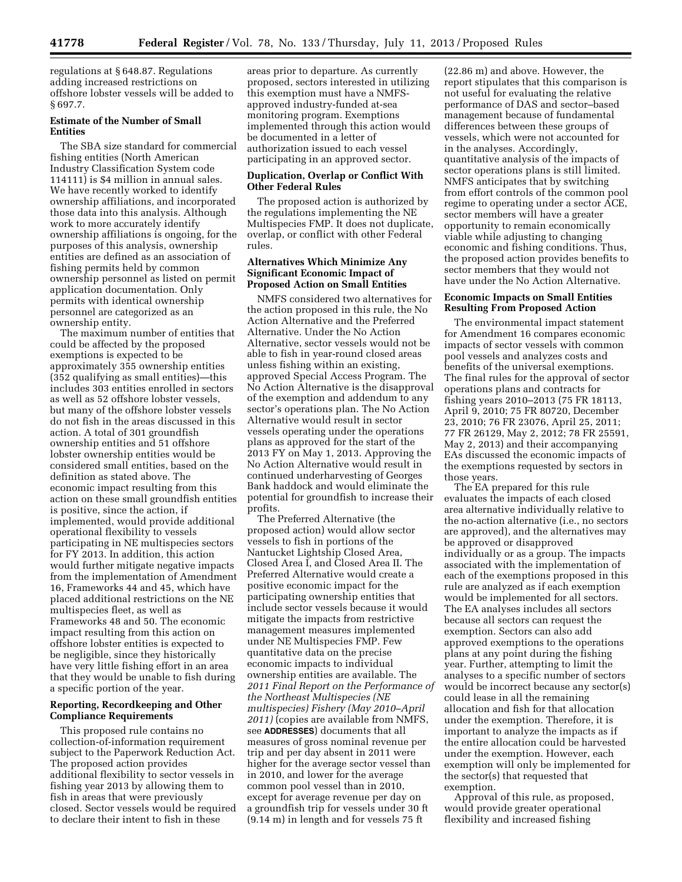regulations at § 648.87. Regulations adding increased restrictions on offshore lobster vessels will be added to § 697.7.

# **Estimate of the Number of Small Entities**

The SBA size standard for commercial fishing entities (North American Industry Classification System code 114111) is \$4 million in annual sales. We have recently worked to identify ownership affiliations, and incorporated those data into this analysis. Although work to more accurately identify ownership affiliations is ongoing, for the purposes of this analysis, ownership entities are defined as an association of fishing permits held by common ownership personnel as listed on permit application documentation. Only permits with identical ownership personnel are categorized as an ownership entity.

The maximum number of entities that could be affected by the proposed exemptions is expected to be approximately 355 ownership entities (352 qualifying as small entities)—this includes 303 entities enrolled in sectors as well as 52 offshore lobster vessels, but many of the offshore lobster vessels do not fish in the areas discussed in this action. A total of 301 groundfish ownership entities and 51 offshore lobster ownership entities would be considered small entities, based on the definition as stated above. The economic impact resulting from this action on these small groundfish entities is positive, since the action, if implemented, would provide additional operational flexibility to vessels participating in NE multispecies sectors for FY 2013. In addition, this action would further mitigate negative impacts from the implementation of Amendment 16, Frameworks 44 and 45, which have placed additional restrictions on the NE multispecies fleet, as well as Frameworks 48 and 50. The economic impact resulting from this action on offshore lobster entities is expected to be negligible, since they historically have very little fishing effort in an area that they would be unable to fish during a specific portion of the year.

## **Reporting, Recordkeeping and Other Compliance Requirements**

This proposed rule contains no collection-of-information requirement subject to the Paperwork Reduction Act. The proposed action provides additional flexibility to sector vessels in fishing year 2013 by allowing them to fish in areas that were previously closed. Sector vessels would be required to declare their intent to fish in these

areas prior to departure. As currently proposed, sectors interested in utilizing this exemption must have a NMFSapproved industry-funded at-sea monitoring program. Exemptions implemented through this action would be documented in a letter of authorization issued to each vessel participating in an approved sector.

## **Duplication, Overlap or Conflict With Other Federal Rules**

The proposed action is authorized by the regulations implementing the NE Multispecies FMP. It does not duplicate, overlap, or conflict with other Federal rules.

# **Alternatives Which Minimize Any Significant Economic Impact of Proposed Action on Small Entities**

NMFS considered two alternatives for the action proposed in this rule, the No Action Alternative and the Preferred Alternative. Under the No Action Alternative, sector vessels would not be able to fish in year-round closed areas unless fishing within an existing, approved Special Access Program. The No Action Alternative is the disapproval of the exemption and addendum to any sector's operations plan. The No Action Alternative would result in sector vessels operating under the operations plans as approved for the start of the 2013 FY on May 1, 2013. Approving the No Action Alternative would result in continued underharvesting of Georges Bank haddock and would eliminate the potential for groundfish to increase their profits.

The Preferred Alternative (the proposed action) would allow sector vessels to fish in portions of the Nantucket Lightship Closed Area, Closed Area I, and Closed Area II. The Preferred Alternative would create a positive economic impact for the participating ownership entities that include sector vessels because it would mitigate the impacts from restrictive management measures implemented under NE Multispecies FMP. Few quantitative data on the precise economic impacts to individual ownership entities are available. The *2011 Final Report on the Performance of the Northeast Multispecies (NE multispecies) Fishery (May 2010–April 2011)* (copies are available from NMFS, see **ADDRESSES**) documents that all measures of gross nominal revenue per trip and per day absent in 2011 were higher for the average sector vessel than in 2010, and lower for the average common pool vessel than in 2010, except for average revenue per day on a groundfish trip for vessels under 30 ft (9.14 m) in length and for vessels 75 ft

(22.86 m) and above. However, the report stipulates that this comparison is not useful for evaluating the relative performance of DAS and sector–based management because of fundamental differences between these groups of vessels, which were not accounted for in the analyses. Accordingly, quantitative analysis of the impacts of sector operations plans is still limited. NMFS anticipates that by switching from effort controls of the common pool regime to operating under a sector ACE, sector members will have a greater opportunity to remain economically viable while adjusting to changing economic and fishing conditions. Thus, the proposed action provides benefits to sector members that they would not have under the No Action Alternative.

## **Economic Impacts on Small Entities Resulting From Proposed Action**

The environmental impact statement for Amendment 16 compares economic impacts of sector vessels with common pool vessels and analyzes costs and benefits of the universal exemptions. The final rules for the approval of sector operations plans and contracts for fishing years 2010–2013 (75 FR 18113, April 9, 2010; 75 FR 80720, December 23, 2010; 76 FR 23076, April 25, 2011; 77 FR 26129, May 2, 2012; 78 FR 25591, May 2, 2013) and their accompanying EAs discussed the economic impacts of the exemptions requested by sectors in those years.

The EA prepared for this rule evaluates the impacts of each closed area alternative individually relative to the no-action alternative (i.e., no sectors are approved), and the alternatives may be approved or disapproved individually or as a group. The impacts associated with the implementation of each of the exemptions proposed in this rule are analyzed as if each exemption would be implemented for all sectors. The EA analyses includes all sectors because all sectors can request the exemption. Sectors can also add approved exemptions to the operations plans at any point during the fishing year. Further, attempting to limit the analyses to a specific number of sectors would be incorrect because any sector(s) could lease in all the remaining allocation and fish for that allocation under the exemption. Therefore, it is important to analyze the impacts as if the entire allocation could be harvested under the exemption. However, each exemption will only be implemented for the sector(s) that requested that exemption.

Approval of this rule, as proposed, would provide greater operational flexibility and increased fishing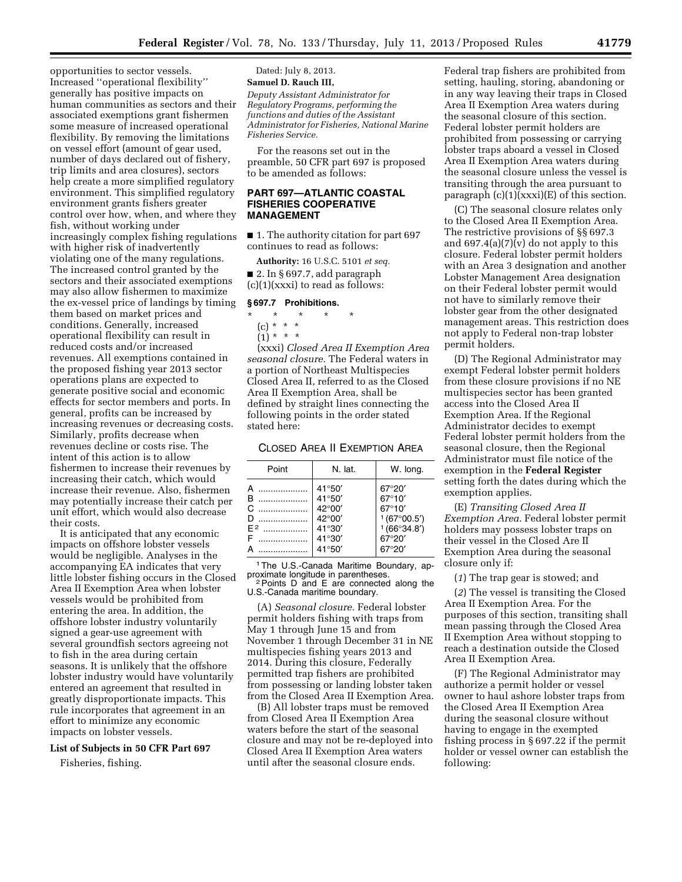opportunities to sector vessels. Increased ''operational flexibility'' generally has positive impacts on human communities as sectors and their associated exemptions grant fishermen some measure of increased operational flexibility. By removing the limitations on vessel effort (amount of gear used, number of days declared out of fishery, trip limits and area closures), sectors help create a more simplified regulatory environment. This simplified regulatory environment grants fishers greater control over how, when, and where they fish, without working under increasingly complex fishing regulations with higher risk of inadvertently violating one of the many regulations. The increased control granted by the sectors and their associated exemptions may also allow fishermen to maximize the ex-vessel price of landings by timing them based on market prices and conditions. Generally, increased operational flexibility can result in reduced costs and/or increased revenues. All exemptions contained in the proposed fishing year 2013 sector operations plans are expected to generate positive social and economic effects for sector members and ports. In general, profits can be increased by increasing revenues or decreasing costs. Similarly, profits decrease when revenues decline or costs rise. The intent of this action is to allow fishermen to increase their revenues by increasing their catch, which would increase their revenue. Also, fishermen may potentially increase their catch per unit effort, which would also decrease their costs.

It is anticipated that any economic impacts on offshore lobster vessels would be negligible. Analyses in the accompanying EA indicates that very little lobster fishing occurs in the Closed Area II Exemption Area when lobster vessels would be prohibited from entering the area. In addition, the offshore lobster industry voluntarily signed a gear-use agreement with several groundfish sectors agreeing not to fish in the area during certain seasons. It is unlikely that the offshore lobster industry would have voluntarily entered an agreement that resulted in greatly disproportionate impacts. This rule incorporates that agreement in an effort to minimize any economic impacts on lobster vessels.

#### **List of Subjects in 50 CFR Part 697**

Fisheries, fishing.

Dated: July 8, 2013. **Samuel D. Rauch III,**  *Deputy Assistant Administrator for Regulatory Programs, performing the functions and duties of the Assistant Administrator for Fisheries, National Marine Fisheries Service.* 

For the reasons set out in the preamble, 50 CFR part 697 is proposed to be amended as follows:

## **PART 697—ATLANTIC COASTAL FISHERIES COOPERATIVE MANAGEMENT**

■ 1. The authority citation for part 697 continues to read as follows:

**Authority:** 16 U.S.C. 5101 *et seq.*  ■ 2. In § 697.7, add paragraph

# $(c)(1)(xxx)$  to read as follows:

# **§ 697.7 Prohibitions.**

- \* \* \* \* \*
	- (c) \* \* \*  $(1) * * * *$

(xxxi) *Closed Area II Exemption Area seasonal closure.* The Federal waters in a portion of Northeast Multispecies Closed Area II, referred to as the Closed Area II Exemption Area, shall be defined by straight lines connecting the following points in the order stated stated here:

## CLOSED AREA II EXEMPTION AREA

| Point                                    | N. lat.                                                                                                         | W. long.                                                                                       |
|------------------------------------------|-----------------------------------------------------------------------------------------------------------------|------------------------------------------------------------------------------------------------|
| A<br>.<br>B<br>C<br>D<br>.<br>$F^2$<br>F | $41^{\circ}50'$<br>$41^{\circ}50'$<br>$42^{\circ}00'$<br>42°00'<br>$41^{\circ}30'$<br>$41^{\circ}30'$<br>41°50' | 67°20'<br>$67^{\circ}10'$<br>$67^{\circ}10'$<br>1(67°00.5')<br>1(66°34.8')<br>67°20'<br>67°20' |

<sup>1</sup>The U.S.-Canada Maritime Boundary, approximate longitude in parentheses.

<sup>2</sup> Points D and E are connected along the U.S.-Canada maritime boundary.

(A) *Seasonal closure.* Federal lobster permit holders fishing with traps from May 1 through June 15 and from November 1 through December 31 in NE multispecies fishing years 2013 and 2014. During this closure, Federally permitted trap fishers are prohibited from possessing or landing lobster taken from the Closed Area II Exemption Area.

(B) All lobster traps must be removed from Closed Area II Exemption Area waters before the start of the seasonal closure and may not be re-deployed into Closed Area II Exemption Area waters until after the seasonal closure ends.

Federal trap fishers are prohibited from setting, hauling, storing, abandoning or in any way leaving their traps in Closed Area II Exemption Area waters during the seasonal closure of this section. Federal lobster permit holders are prohibited from possessing or carrying lobster traps aboard a vessel in Closed Area II Exemption Area waters during the seasonal closure unless the vessel is transiting through the area pursuant to paragraph  $(c)(1)(xxx)(E)$  of this section.

(C) The seasonal closure relates only to the Closed Area II Exemption Area. The restrictive provisions of §§ 697.3 and  $697.4(a)(7)(v)$  do not apply to this closure. Federal lobster permit holders with an Area 3 designation and another Lobster Management Area designation on their Federal lobster permit would not have to similarly remove their lobster gear from the other designated management areas. This restriction does not apply to Federal non-trap lobster permit holders.

(D) The Regional Administrator may exempt Federal lobster permit holders from these closure provisions if no NE multispecies sector has been granted access into the Closed Area II Exemption Area. If the Regional Administrator decides to exempt Federal lobster permit holders from the seasonal closure, then the Regional Administrator must file notice of the exemption in the **Federal Register**  setting forth the dates during which the exemption applies.

(E) *Transiting Closed Area II Exemption Area.* Federal lobster permit holders may possess lobster traps on their vessel in the Closed Are II Exemption Area during the seasonal closure only if:

(*1*) The trap gear is stowed; and

(*2*) The vessel is transiting the Closed Area II Exemption Area. For the purposes of this section, transiting shall mean passing through the Closed Area II Exemption Area without stopping to reach a destination outside the Closed Area II Exemption Area.

(F) The Regional Administrator may authorize a permit holder or vessel owner to haul ashore lobster traps from the Closed Area II Exemption Area during the seasonal closure without having to engage in the exempted fishing process in § 697.22 if the permit holder or vessel owner can establish the following: